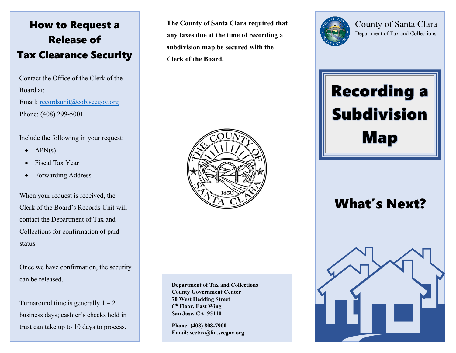### How to Request a Release of Tax Clearance Security

Contact the Office of the Clerk of the Board at: Email: [recordsunit@cob.sccgov.org](mailto:recordsunit@cob.sccgov.org) Phone: (408) 299-5001

Include the following in your request:

- $APN(s)$
- Fiscal Tax Year
- Forwarding Address

When your request is received, the Clerk of the Board's Records Unit will contact the Department of Tax and Collections for confirmation of paid status.

Once we have confirmation, the security can be released.

Turnaround time is generally  $1 - 2$ business days; cashier's checks held in trust can take up to 10 days to process.

**The County of Santa Clara required that any taxes due at the time of recording a subdivision map be secured with the Clerk of the Board.**



**Department of Tax and Collections County Government Center 70 West Hedding Street 6th Floor, East Wing San Jose, CA 95110**

**Phone: (408) 808-7900 Email: scctax@fin.sccgov.org**



County of Santa Clara Department of Tax and Collections

# Recording a Subdivision Map

## What's Next?